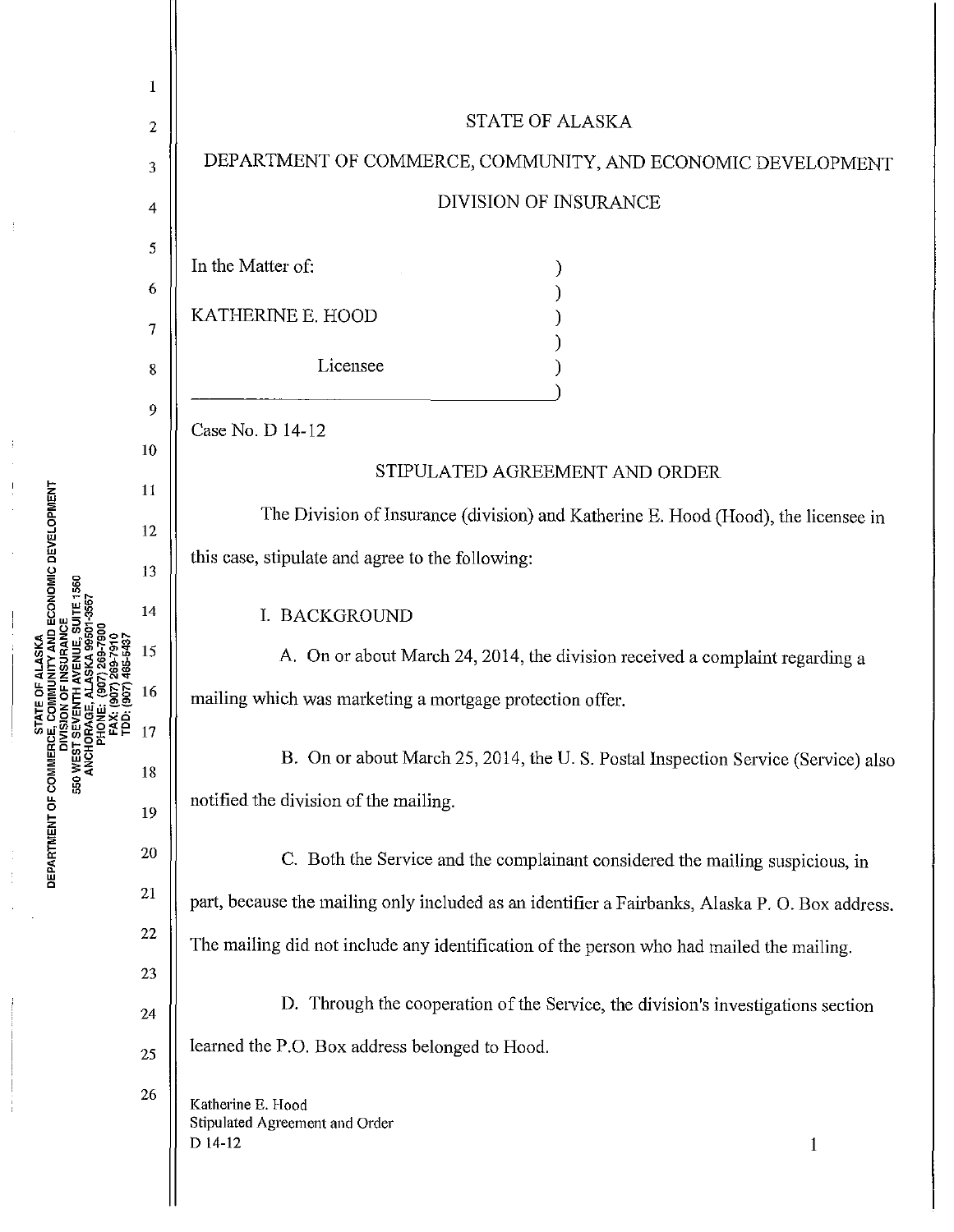|                                  | 1                |                                                                                                 |
|----------------------------------|------------------|-------------------------------------------------------------------------------------------------|
|                                  | $\overline{c}$   | <b>STATE OF ALASKA</b>                                                                          |
| 1907) 465-5437<br>(907) 465-5437 | 3                | DEPARTMENT OF COMMERCE, COMMUNITY, AND ECONOMIC DEVELOPMENT                                     |
|                                  | 4                | <b>DIVISION OF INSURANCE</b>                                                                    |
|                                  | 5                | In the Matter of:                                                                               |
|                                  | 6                |                                                                                                 |
|                                  | 7                | KATHERINE E. HOOD                                                                               |
|                                  | 8                | Licensee                                                                                        |
|                                  | $\boldsymbol{9}$ | Case No. D 14-12                                                                                |
|                                  | 10               | STIPULATED AGREEMENT AND ORDER                                                                  |
|                                  | 11               |                                                                                                 |
|                                  | 12               | The Division of Insurance (division) and Katherine E. Hood (Hood), the licensee in              |
|                                  | 13               | this case, stipulate and agree to the following:                                                |
|                                  | 14               | I. BACKGROUND                                                                                   |
|                                  | 15               | A. On or about March 24, 2014, the division received a complaint regarding a                    |
|                                  | 16               | mailing which was marketing a mortgage protection offer.                                        |
| :ຂໍ                              | 17               | B. On or about March 25, 2014, the U.S. Postal Inspection Service (Service) also                |
|                                  | 18               | notified the division of the mailing.                                                           |
|                                  | 19               |                                                                                                 |
|                                  | 20               | C. Both the Service and the complainant considered the mailing suspicious, in                   |
|                                  | 21               | part, because the mailing only included as an identifier a Fairbanks, Alaska P. O. Box address. |
|                                  | 22               | The mailing did not include any identification of the person who had mailed the mailing.        |
|                                  | 23               | D. Through the cooperation of the Service, the division's investigations section                |
|                                  | 24               | learned the P.O. Box address belonged to Hood.                                                  |
|                                  | 25               |                                                                                                 |
|                                  | 26               | Katherine E. Hood<br>Stipulated Agreement and Order                                             |
|                                  |                  | D 14-12<br>$\mathbf{1}$                                                                         |
|                                  |                  |                                                                                                 |

ient of

 $\frac{1}{2}$ 

 $\begin{array}{c} \begin{array}{c} \begin{array}{c} \end{array} \\ \begin{array}{c} \end{array} \\ \begin{array}{c} \end{array} \\ \begin{array}{c} \end{array} \end{array} \end{array}$ 

**DEPAR** 

 $\frac{1}{2}$ 

ł

 $\frac{1}{2}$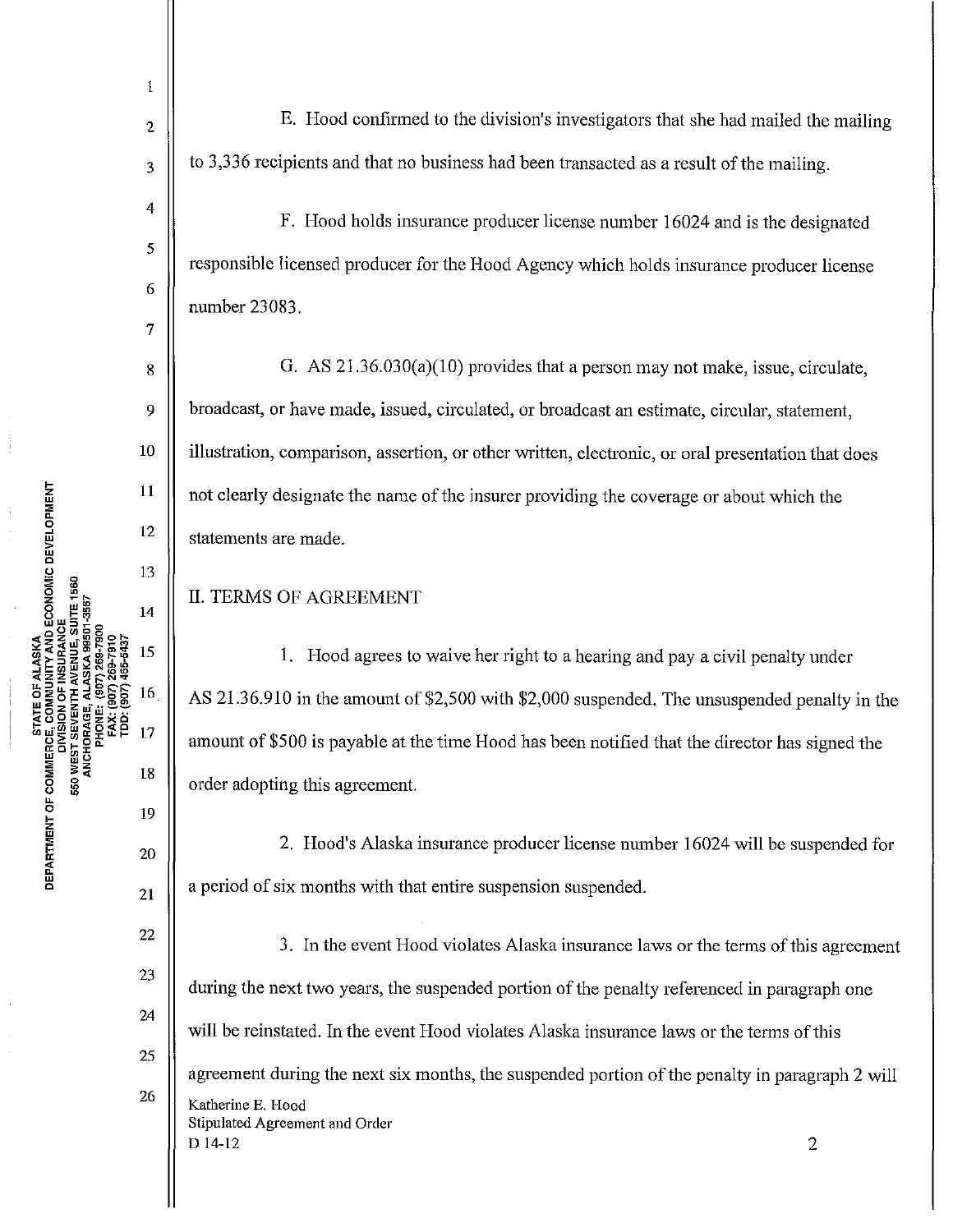1

2

3

4

5

6

7

8

9

10

11

12

13

14

15

16

17

19

18

20

21

E. Hood confirmed to the division's investigators that she had mailed the mailing to 3,336 recipients and that no business had been transacted as a result of the mailing.

F. Hood holds insurance producer license number 16024 and is the designated responsible licensed producer for the Hood Agency which holds insurance producer license number 23083.

G. AS 21.36.030(a)(10) provides that a person may not make, issue, circulate, broadcast, or have made, issued, circulated, or broadcast an estimate, circular, statement, illustration, comparison, assertion, or other written, electronic, or oral presentation that does not clearly designate the name of the insurer providing the coverage or about which the statements are made.

## II. TERMS OF AGREEMENT

1. Hood agrees to waive her right to a hearing and pay a civil penalty under AS 21.36.910 in the amount of \$2,500 with \$2,000 suspended. The unsuspended penalty in the amount of \$500 is payable at the time Hood has been notified that the director has signed the order adopting this agreement.

2. Hood's Alaska insurance producer license number 16024 will be suspended for a period of six months with that entire suspension suspended.

22 23 24 25 26 3. In the event Hood violates Alaska insurance laws or the terms of this agreement during the next two years, the suspended portion of the penalty referenced in paragraph one will be reinstated. In the event Hood violates Alaska insurance laws or the terms of this agreement during the next six months, the suspended portion of the penalty in paragraph 2 will Katherine E. Hood Stipulated Agreement and Order  $D$  14-12 2